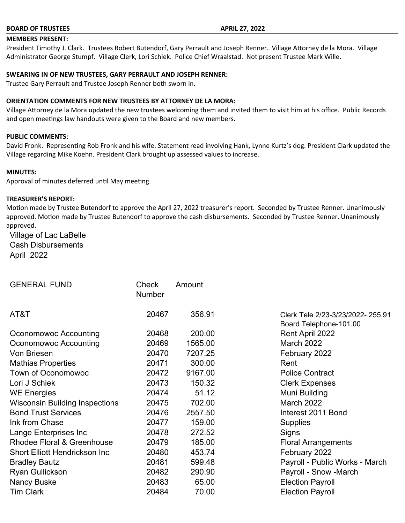### **BOARD OF TRUSTEES APRIL 27, 2022**

# **MEMBERS PRESENT:**

President Timothy J. Clark. Trustees Robert Butendorf, Gary Perrault and Joseph Renner. Village Attorney de la Mora. Village Administrator George Stumpf. Village Clerk, Lori Schiek. Police Chief Wraalstad. Not present Trustee Mark Wille.

#### **SWEARING IN OF NEW TRUSTEES, GARY PERRAULT AND JOSEPH RENNER:**

Trustee Gary Perrault and Trustee Joseph Renner both sworn in.

#### **ORIENTATION COMMENTS FOR NEW TRUSTEES BY ATTORNEY DE LA MORA:**

Village Attorney de la Mora updated the new trustees welcoming them and invited them to visit him at his office. Public Records and open meetings law handouts were given to the Board and new members.

#### **PUBLIC COMMENTS:**

David Fronk. Representing Rob Fronk and his wife. Statement read involving Hank, Lynne Kurtz's dog. President Clark updated the Village regarding Mike Koehn. President Clark brought up assessed values to increase.

#### **MINUTES:**

Approval of minutes deferred until May meeting.

#### **TREASURER'S REPORT:**

Motion made by Trustee Butendorf to approve the April 27, 2022 treasurer's report. Seconded by Trustee Renner. Unanimously approved. Motion made by Trustee Butendorf to approve the cash disbursements. Seconded by Trustee Renner. Unanimously approved.

Village of Lac LaBelle Cash Disbursements April 2022

| Check<br>Number | Amount  |                                                             |
|-----------------|---------|-------------------------------------------------------------|
| 20467           | 356.91  | Clerk Tele 2/23-3/23/2022- 255.91<br>Board Telephone-101.00 |
| 20468           | 200.00  | Rent April 2022                                             |
| 20469           | 1565.00 | <b>March 2022</b>                                           |
| 20470           | 7207.25 | February 2022                                               |
| 20471           | 300.00  | Rent                                                        |
| 20472           | 9167.00 | <b>Police Contract</b>                                      |
| 20473           | 150.32  | <b>Clerk Expenses</b>                                       |
| 20474           | 51.12   | Muni Building                                               |
| 20475           | 702.00  | March 2022                                                  |
| 20476           | 2557.50 | Interest 2011 Bond                                          |
| 20477           | 159.00  | <b>Supplies</b>                                             |
| 20478           | 272.52  | Signs                                                       |
| 20479           | 185.00  | <b>Floral Arrangements</b>                                  |
| 20480           | 453.74  | February 2022                                               |
| 20481           | 599.48  | Payroll - Public Works - March                              |
| 20482           | 290.90  | Payroll - Snow -March                                       |
| 20483           | 65.00   | <b>Election Payroll</b>                                     |
| 20484           | 70.00   | <b>Election Payroll</b>                                     |
|                 |         |                                                             |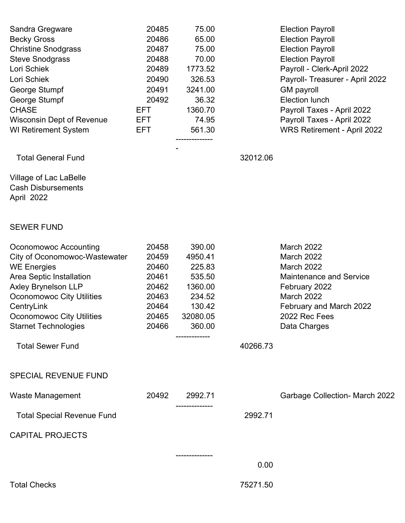| Sandra Gregware<br><b>Becky Gross</b><br><b>Christine Snodgrass</b><br><b>Steve Snodgrass</b><br>Lori Schiek<br>Lori Schiek<br>George Stumpf<br>George Stumpf<br><b>CHASE</b><br><b>Wisconsin Dept of Revenue</b><br><b>WI Retirement System</b>            | 20485<br>20486<br>20487<br>20488<br>20489<br>20490<br>20491<br>20492<br>EFT.<br>EFT.<br>EFT. | 75.00<br>65.00<br>75.00<br>70.00<br>1773.52<br>326.53<br>3241.00<br>36.32<br>1360.70<br>74.95<br>561.30 |          | <b>Election Payroll</b><br><b>Election Payroll</b><br><b>Election Payroll</b><br><b>Election Payroll</b><br>Payroll - Clerk-April 2022<br>Payroll- Treasurer - April 2022<br><b>GM</b> payroll<br><b>Election lunch</b><br>Payroll Taxes - April 2022<br>Payroll Taxes - April 2022<br>WRS Retirement - April 2022 |
|-------------------------------------------------------------------------------------------------------------------------------------------------------------------------------------------------------------------------------------------------------------|----------------------------------------------------------------------------------------------|---------------------------------------------------------------------------------------------------------|----------|--------------------------------------------------------------------------------------------------------------------------------------------------------------------------------------------------------------------------------------------------------------------------------------------------------------------|
| <b>Total General Fund</b>                                                                                                                                                                                                                                   |                                                                                              |                                                                                                         | 32012.06 |                                                                                                                                                                                                                                                                                                                    |
| Village of Lac LaBelle<br><b>Cash Disbursements</b><br>April 2022                                                                                                                                                                                           |                                                                                              |                                                                                                         |          |                                                                                                                                                                                                                                                                                                                    |
| <b>SEWER FUND</b>                                                                                                                                                                                                                                           |                                                                                              |                                                                                                         |          |                                                                                                                                                                                                                                                                                                                    |
| Oconomowoc Accounting<br>City of Oconomowoc-Wastewater<br><b>WE Energies</b><br>Area Septic Installation<br><b>Axley Brynelson LLP</b><br><b>Oconomowoc City Utilities</b><br>CentryLink<br><b>Oconomowoc City Utilities</b><br><b>Starnet Technologies</b> | 20458<br>20459<br>20460<br>20461<br>20462<br>20463<br>20464<br>20465<br>20466                | 390.00<br>4950.41<br>225.83<br>535.50<br>1360.00<br>234.52<br>130.42<br>32080.05<br>360.00              |          | March 2022<br>March 2022<br><b>March 2022</b><br><b>Maintenance and Service</b><br>February 2022<br><b>March 2022</b><br>February and March 2022<br>2022 Rec Fees<br>Data Charges                                                                                                                                  |
| <b>Total Sewer Fund</b>                                                                                                                                                                                                                                     |                                                                                              |                                                                                                         | 40266.73 |                                                                                                                                                                                                                                                                                                                    |
| <b>SPECIAL REVENUE FUND</b>                                                                                                                                                                                                                                 |                                                                                              |                                                                                                         |          |                                                                                                                                                                                                                                                                                                                    |
| <b>Waste Management</b>                                                                                                                                                                                                                                     | 20492                                                                                        | 2992.71                                                                                                 |          | <b>Garbage Collection- March 2022</b>                                                                                                                                                                                                                                                                              |
| <b>Total Special Revenue Fund</b>                                                                                                                                                                                                                           |                                                                                              |                                                                                                         | 2992.71  |                                                                                                                                                                                                                                                                                                                    |
| <b>CAPITAL PROJECTS</b>                                                                                                                                                                                                                                     |                                                                                              |                                                                                                         |          |                                                                                                                                                                                                                                                                                                                    |
|                                                                                                                                                                                                                                                             |                                                                                              |                                                                                                         | 0.00     |                                                                                                                                                                                                                                                                                                                    |
| <b>Total Checks</b>                                                                                                                                                                                                                                         |                                                                                              |                                                                                                         | 75271.50 |                                                                                                                                                                                                                                                                                                                    |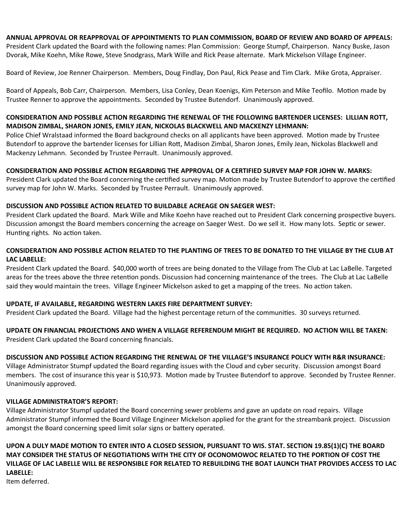### **ANNUAL APPROVAL OR REAPPROVAL OF APPOINTMENTS TO PLAN COMMISSION, BOARD OF REVIEW AND BOARD OF APPEALS:**

President Clark updated the Board with the following names: Plan Commission: George Stumpf, Chairperson. Nancy Buske, Jason Dvorak, Mike Koehn, Mike Rowe, Steve Snodgrass, Mark Wille and Rick Pease alternate. Mark Mickelson Village Engineer.

Board of Review, Joe Renner Chairperson. Members, Doug Findlay, Don Paul, Rick Pease and Tim Clark. Mike Grota, Appraiser.

Board of Appeals, Bob Carr, Chairperson. Members, Lisa Conley, Dean Koenigs, Kim Peterson and Mike Teofilo. Motion made by Trustee Renner to approve the appointments. Seconded by Trustee Butendorf. Unanimously approved.

# **CONSIDERATION AND POSSIBLE ACTION REGARDING THE RENEWAL OF THE FOLLOWING BARTENDER LICENSES: LILLIAN ROTT, MADISON ZIMBAL, SHARON JONES, EMILY JEAN, NICKOLAS BLACKWELL AND MACKENZY LEHMANN:**

Police Chief Wralstaad informed the Board background checks on all applicants have been approved. Motion made by Trustee Butendorf to approve the bartender licenses for Lillian Rott, Madison Zimbal, Sharon Jones, Emily Jean, Nickolas Blackwell and Mackenzy Lehmann. Seconded by Trustee Perrault. Unanimously approved.

### **CONSIDERATION AND POSSIBLE ACTION REGARDING THE APPROVAL OF A CERTIFIED SURVEY MAP FOR JOHN W. MARKS:**

President Clark updated the Board concerning the certified survey map. Motion made by Trustee Butendorf to approve the certified survey map for John W. Marks. Seconded by Trustee Perrault. Unanimously approved.

### **DISCUSSION AND POSSIBLE ACTION RELATED TO BUILDABLE ACREAGE ON SAEGER WEST:**

President Clark updated the Board. Mark Wille and Mike Koehn have reached out to President Clark concerning prospective buyers. Discussion amongst the Board members concerning the acreage on Saeger West. Do we sell it. How many lots. Septic or sewer. Hunting rights. No action taken.

# **CONSIDERATION AND POSSIBLE ACTION RELATED TO THE PLANTING OF TREES TO BE DONATED TO THE VILLAGE BY THE CLUB AT LAC LABELLE:**

President Clark updated the Board. \$40,000 worth of trees are being donated to the Village from The Club at Lac LaBelle. Targeted areas for the trees above the three retention ponds. Discussion had concerning maintenance of the trees. The Club at Lac LaBelle said they would maintain the trees. Village Engineer Mickelson asked to get a mapping of the trees. No action taken.

### **UPDATE, IF AVAILABLE, REGARDING WESTERN LAKES FIRE DEPARTMENT SURVEY:**

President Clark updated the Board. Village had the highest percentage return of the communities. 30 surveys returned.

**UPDATE ON FINANCIAL PROJECTIONS AND WHEN A VILLAGE REFERENDUM MIGHT BE REQUIRED. NO ACTION WILL BE TAKEN:** President Clark updated the Board concerning financials.

# **DISCUSSION AND POSSIBLE ACTION REGARDING THE RENEWAL OF THE VILLAGE'S INSURANCE POLICY WITH R&R INSURANCE:**

Village Administrator Stumpf updated the Board regarding issues with the Cloud and cyber security. Discussion amongst Board members. The cost of insurance this year is \$10,973. Motion made by Trustee Butendorf to approve. Seconded by Trustee Renner. Unanimously approved.

### **VILLAGE ADMINISTRATOR'S REPORT:**

Village Administrator Stumpf updated the Board concerning sewer problems and gave an update on road repairs. Village Administrator Stumpf informed the Board Village Engineer Mickelson applied for the grant for the streambank project. Discussion amongst the Board concerning speed limit solar signs or battery operated.

**UPON A DULY MADE MOTION TO ENTER INTO A CLOSED SESSION, PURSUANT TO WIS. STAT. SECTION 19.85(1)(C) THE BOARD MAY CONSIDER THE STATUS OF NEGOTIATIONS WITH THE CITY OF OCONOMOWOC RELATED TO THE PORTION OF COST THE VILLAGE OF LAC LABELLE WILL BE RESPONSIBLE FOR RELATED TO REBUILDING THE BOAT LAUNCH THAT PROVIDES ACCESS TO LAC LABELLE:**

Item deferred.